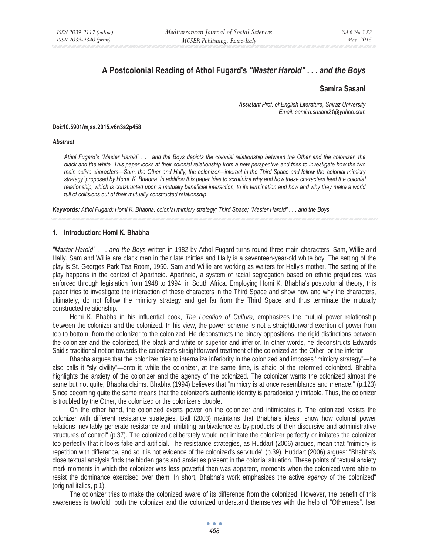# **A Postcolonial Reading of Athol Fugard's** *"Master Harold" . . . and the Boys*

# **Samira Sasani**

*Assistant Prof. of English Literature, Shiraz University Email: samira.sasani21@yahoo.com* 

#### **Doi:10.5901/mjss.2015.v6n3s2p458**

#### *Abstract*

*Athol Fugard's "Master Harold" . . . and the Boys depicts the colonial relationship between the Other and the colonizer, the black and the white. This paper looks at their colonial relationship from a new perspective and tries to investigate how the two main active characters—Sam, the Other and Hally, the colonizer—interact in the Third Space and follow the 'colonial mimicry strategy' proposed by Homi. K. Bhabha. In addition this paper tries to scrutinize why and how these characters lead the colonial relationship, which is constructed upon a mutually beneficial interaction, to its termination and how and why they make a world full of collisions out of their mutually constructed relationship.* 

*Keywords: Athol Fugard; Homi K. Bhabha; colonial mimicry strategy; Third Space; "Master Harold" . . . and the Boys*

#### **1. Introduction: Homi K. Bhabha**

*"Master Harold" . . . and the Boys* written in 1982 by Athol Fugard turns round three main characters: Sam, Willie and Hally. Sam and Willie are black men in their late thirties and Hally is a seventeen-year-old white boy. The setting of the play is St. Georges Park Tea Room, 1950. Sam and Willie are working as waiters for Hally's mother. The setting of the play happens in the context of Apartheid. Apartheid, a system of racial segregation based on ethnic prejudices, was enforced through legislation from 1948 to 1994, in South Africa. Employing Homi K. Bhabha's postcolonial theory, this paper tries to investigate the interaction of these characters in the Third Space and show how and why the characters, ultimately, do not follow the mimicry strategy and get far from the Third Space and thus terminate the mutually constructed relationship.

Homi K. Bhabha in his influential book, *The Location of Culture*, emphasizes the mutual power relationship between the colonizer and the colonized. In his view, the power scheme is not a straightforward exertion of power from top to bottom, from the colonizer to the colonized. He deconstructs the binary oppositions, the rigid distinctions between the colonizer and the colonized, the black and white or superior and inferior. In other words, he deconstructs Edwards Said's traditional notion towards the colonizer's straightforward treatment of the colonized as the Other, or the inferior.

Bhabha argues that the colonizer tries to internalize inferiority in the colonized and imposes "mimicry strategy"—he also calls it "sly civility"—onto it; while the colonizer, at the same time, is afraid of the reformed colonized. Bhabha highlights the anxiety of the colonizer and the agency of the colonized. The colonizer wants the colonized almost the same but not quite, Bhabha claims. Bhabha (1994) believes that "mimicry is at once resemblance and menace." (p.123) Since becoming quite the same means that the colonizer's authentic identity is paradoxically imitable. Thus, the colonizer is troubled by the Other, the colonized or the colonizer's double.

On the other hand, the colonized exerts power on the colonizer and intimidates it. The colonized resists the colonizer with different resistance strategies. Ball (2003) maintains that Bhabha's ideas "show how colonial power relations inevitably generate resistance and inhibiting ambivalence as by-products of their discursive and administrative structures of control" (p.37). The colonized deliberately would not imitate the colonizer perfectly or imitates the colonizer too perfectly that it looks fake and artificial. The resistance strategies, as Huddart (2006) argues, mean that "mimicry is repetition with difference, and so it is not evidence of the colonized's servitude" (p.39). Huddart (2006) argues: "Bhabha's close textual analysis finds the hidden gaps and anxieties present in the colonial situation. These points of textual anxiety mark moments in which the colonizer was less powerful than was apparent, moments when the colonized were able to resist the dominance exercised over them. In short, Bhabha's work emphasizes the active *agency* of the colonized" (original italics, p.1).

The colonizer tries to make the colonized aware of its difference from the colonized. However, the benefit of this awareness is twofold; both the colonizer and the colonized understand themselves with the help of "Otherness". Iser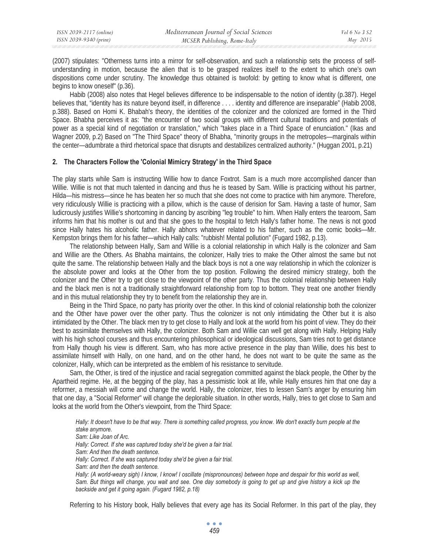(2007) stipulates: "Otherness turns into a mirror for self-observation, and such a relationship sets the process of selfunderstanding in motion, because the alien that is to be grasped realizes itself to the extent to which one's own dispositions come under scrutiny. The knowledge thus obtained is twofold: by getting to know what is different, one begins to know oneself" (p.36).

Habib (2008) also notes that Hegel believes difference to be indispensable to the notion of identity (p.387). Hegel believes that, "identity has its nature beyond itself, in difference . . . . identity and difference are inseparable" (Habib 2008, p.388). Based on Homi K. Bhabah's theory, the identities of the colonizer and the colonized are formed in the Third Space. Bhabha perceives it as: "the encounter of two social groups with different cultural traditions and potentials of power as a special kind of negotiation or translation," which "takes place in a Third Space of enunciation." (Ikas and Wagner 2009, p.2) Based on "The Third Space" theory of Bhabha, "minority groups in the metropoles—marginals within the center—adumbrate a third rhetorical space that disrupts and destabilizes centralized authority." (Huggan 2001, p.21)

## **2. The Characters Follow the 'Colonial Mimicry Strategy' in the Third Space**

The play starts while Sam is instructing Willie how to dance Foxtrot. Sam is a much more accomplished dancer than Willie. Willie is not that much talented in dancing and thus he is teased by Sam. Willie is practicing without his partner, Hilda—his mistress—since he has beaten her so much that she does not come to practice with him anymore. Therefore, very ridiculously Willie is practicing with a pillow, which is the cause of derision for Sam. Having a taste of humor, Sam ludicrously justifies Willie's shortcoming in dancing by ascribing "leg trouble" to him. When Hally enters the tearoom, Sam informs him that his mother is out and that she goes to the hospital to fetch Hally's father home. The news is not good since Hally hates his alcoholic father. Hally abhors whatever related to his father, such as the comic books—Mr. Kempston brings them for his father—which Hally calls: "rubbish! Mental pollution" (Fugard 1982, p.13).

The relationship between Hally, Sam and Willie is a colonial relationship in which Hally is the colonizer and Sam and Willie are the Others. As Bhabha maintains, the colonizer, Hally tries to make the Other almost the same but not quite the same. The relationship between Hally and the black boys is not a one way relationship in which the colonizer is the absolute power and looks at the Other from the top position. Following the desired mimicry strategy, both the colonizer and the Other try to get close to the viewpoint of the other party. Thus the colonial relationship between Hally and the black men is not a traditionally straightforward relationship from top to bottom. They treat one another friendly and in this mutual relationship they try to benefit from the relationship they are in.

Being in the Third Space, no party has priority over the other. In this kind of colonial relationship both the colonizer and the Other have power over the other party. Thus the colonizer is not only intimidating the Other but it is also intimidated by the Other. The black men try to get close to Hally and look at the world from his point of view. They do their best to assimilate themselves with Hally, the colonizer. Both Sam and Willie can well get along with Hally. Helping Hally with his high school courses and thus encountering philosophical or ideological discussions, Sam tries not to get distance from Hally though his view is different. Sam, who has more active presence in the play than Willie, does his best to assimilate himself with Hally, on one hand, and on the other hand, he does not want to be quite the same as the colonizer, Hally, which can be interpreted as the emblem of his resistance to servitude.

Sam, the Other, is tired of the injustice and racial segregation committed against the black people, the Other by the Apartheid regime. He, at the begging of the play, has a pessimistic look at life, while Hally ensures him that one day a reformer, a messiah will come and change the world. Hally, the colonizer, tries to lessen Sam's anger by ensuring him that one day, a "Social Reformer" will change the deplorable situation. In other words, Hally, tries to get close to Sam and looks at the world from the Other's viewpoint, from the Third Space:

*Hally: It doesn't have to be that way. There is something called progress, you know. We don't exactly burn people at the stake anymore. Sam: Like Joan of Arc. Hally: Correct. If she was captured today she'd be given a fair trial. Sam: And then the death sentence. Hally: Correct. If she was captured today she'd be given a fair trial. Sam: and then the death sentence. Hally: (A world-weary sigh) I know, I know! I oscillate (mispronounces) between hope and despair for this world as well,*  Sam. But things will change, you wait and see. One day somebody is going to get up and give history a kick up the *backside and get it going again. (Fugard 1982, p.18)* 

Referring to his History book, Hally believes that every age has its Social Reformer. In this part of the play, they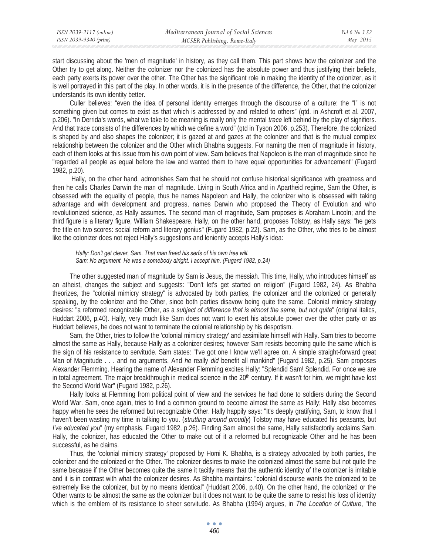start discussing about the 'men of magnitude' in history, as they call them. This part shows how the colonizer and the Other try to get along. Neither the colonizer nor the colonized has the absolute power and thus justifying their beliefs, each party exerts its power over the other. The Other has the significant role in making the identity of the colonizer, as it is well portrayed in this part of the play. In other words, it is in the presence of the difference, the Other, that the colonizer understands its own identity better.

Culler believes: "even the idea of personal identity emerges through the discourse of a culture: the "I" is not something given but comes to exist as that which is addressed by and related to others" (qtd. in Ashcroft et al. 2007, p.206). "In Derrida's words, what we take to be meaning is really only the mental *trace* left behind by the play of signifiers. And that trace consists of the differences by which we define a word" (qtd in Tyson 2006, p.253). Therefore, the colonized is shaped by and also shapes the colonizer; it is gazed at and gazes at the colonizer and that is the mutual complex relationship between the colonizer and the Other which Bhabha suggests. For naming the men of magnitude in history, each of them looks at this issue from his own point of view. Sam believes that Napoleon is the man of magnitude since he "regarded all people as equal before the law and wanted them to have equal opportunities for advancement" (Fugard 1982, p.20).

 Hally, on the other hand, admonishes Sam that he should not confuse historical significance with greatness and then he calls Charles Darwin the man of magnitude. Living in South Africa and in Apartheid regime, Sam the Other, is obsessed with the equality of people, thus he names Napoleon and Hally, the colonizer who is obsessed with taking advantage and with development and progress, names Darwin who proposed the Theory of Evolution and who revolutionized science, as Hally assumes. The second man of magnitude, Sam proposes is Abraham Lincoln; and the third figure is a literary figure, William Shakespeare. Hally, on the other hand, proposes Tolstoy, as Hally says: "he gets the title on two scores: social reform and literary genius" (Fugard 1982, p.22). Sam, as the Other, who tries to be almost like the colonizer does not reject Hally's suggestions and leniently accepts Hally's idea:

*Hally: Don't get clever, Sam. That man freed his serfs of his own free will. Sam: No argument. He was a somebody alright. I accept him. (Fugard 1982, p.24)* 

The other suggested man of magnitude by Sam is Jesus, the messiah. This time, Hally, who introduces himself as an atheist, changes the subject and suggests: "Don't let's get started on religion" (Fugard 1982, 24). As Bhabha theorizes, the "colonial mimicry strategy" is advocated by both parties, the colonizer and the colonized or generally speaking, by the colonizer and the Other, since both parties disavow being quite the same. Colonial mimicry strategy desires: "a reformed recognizable Other, as a *subject of difference that is almost the same, but not quite*" (original italics, Huddart 2006, p.40). Hally, very much like Sam does not want to exert his absolute power over the other party or as Huddart believes, he does not want to terminate the colonial relationship by his despotism.

Sam, the Other, tries to follow the 'colonial mimicry strategy' and assimilate himself with Hally. Sam tries to become almost the same as Hally, because Hally as a colonizer desires; however Sam resists becoming quite the same which is the sign of his resistance to servitude. Sam states: "I've got one I know we'll agree on. A simple straight-forward great Man of Magnitude . . . and no arguments. And *he* really *did* benefit all mankind" (Fugard 1982, p.25). Sam proposes Alexander Flemming. Hearing the name of Alexander Flemming excites Hally: "Splendid Sam! Splendid. For once we are in total agreement. The major breakthrough in medical science in the 20<sup>th</sup> century. If it wasn't for him, we might have lost the Second World War" (Fugard 1982, p.26).

Hally looks at Flemming from political point of view and the services he had done to soldiers during the Second World War. Sam, once again, tries to find a common ground to become almost the same as Hally; Hally also becomes happy when he sees the reformed but recognizable Other. Hally happily says: "It's deeply gratifying, Sam, to know that I haven't been wasting my time in talking to you. (*strutting around proudly*) Tolstoy may have educated his peasants, but *I've educated you*" (my emphasis, Fugard 1982, p.26). Finding Sam almost the same, Hally satisfactorily acclaims Sam. Hally, the colonizer, has educated the Other to make out of it a reformed but recognizable Other and he has been successful, as he claims.

Thus, the 'colonial mimicry strategy' proposed by Homi K. Bhabha, is a strategy advocated by both parties, the colonizer and the colonized or the Other. The colonizer desires to make the colonized almost the same but not quite the same because if the Other becomes quite the same it tacitly means that the authentic identity of the colonizer is imitable and it is in contrast with what the colonizer desires. As Bhabha maintains: "colonial discourse wants the colonized to be extremely like the colonizer, but by no means identical" (Huddart 2006, p.40). On the other hand, the colonized or the Other wants to be almost the same as the colonizer but it does not want to be quite the same to resist his loss of identity which is the emblem of its resistance to sheer servitude. As Bhabha (1994) argues, in *The Location of Culture*, "the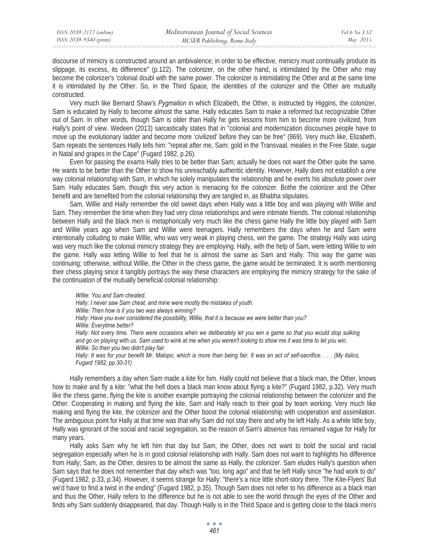discourse of mimicry is constructed around an ambivalence; in order to be effective, mimicry must continually produce its slippage, its excess, its difference" (p.122). The colonizer, on the other hand, is intimidated by the Other who may become the colonizer's 'colonial doubl with the same power. The colonizer is intimidating the Other and at the same time it is intimidated by the Other. So, in the Third Space, the identities of the colonizer and the Other are mutually constructed.

Very much like Bernard Shaw's *Pygmalion* in which Elizabeth, the Other, is instructed by Higgins, the colonizer, Sam is educated by Hally to become almost the same. Hally educates Sam to make a reformed but recognizable Other out of Sam. In other words, though Sam is older than Hally he gets lessons from him to become more civilized, from Hally's point of view. Wedeen (2013) sarcastically states that in "colonial and modernization discourses people have to move up the evolutionary ladder and become more 'civilized' before they can be free" (869). Very much like, Elizabeth, Sam repeats the sentences Hally tells him: "repeat after me, Sam: gold in the Transvaal, mealies in the Free State, sugar in Natal and grapes in the Cape" (Fugard 1982, p.26).

Even for passing the exams Hally tries to be better than Sam; actually he does not want the Other quite the same. He wants to be better than the Other to show his unreachably authentic identity. However, Hally does not establish a one way colonial relationship with Sam, in which he solely manipulates the relationship and he exerts his absolute power over Sam. Hally educates Sam, though this very action is menacing for the colonizer. Bothe the colonizer and the Other benefit and are benefited from the colonial relationship they are tangled in, as Bhabha stipulates.

Sam, Willie and Hally remember the old sweet days when Hally was a little boy and was playing with Willie and Sam. They remember the time when they had very close relationships and were intimate friends. The colonial relationship between Hally and the black men is metaphorically very much like the chess game Hally the little boy played with Sam and Willie years ago when Sam and Willie were teenagers. Hally remembers the days when he and Sam were intentionally colluding to make Willie, who was very weak in playing chess, win the game. The strategy Hally was using was very much like the colonial mimicry strategy they are employing. Hally, with the help of Sam, were letting Willie to win the game. Hally was letting Willie to feel that he is almost the same as Sam and Hally. This way the game was continuing; otherwise, without Willie, the Other in the chess game, the game would be terminated. It is worth mentioning their chess playing since it tangibly portrays the way these characters are employing the mimicry strategy for the sake of the continuation of the mutually beneficial colonial relationship:

*Willie: You and Sam cheated. Hally: I never saw Sam cheat, and mine were mostly the mistakes of youth. Willie: Then how is it you two was always winning? Hally: Have you ever considered the possibility, Willie, that it is because we were better than you? Willie: Everytime better? Hally: Not every time. There were occasions when we deliberately let you win a game so that you would stop sulking and go on playing with us. Sam used to wink at me when you weren't looking to show me it was time to let you win. Willie: So then you two didn't play fair. Hally: It was for your benefit Mr. Malopo, which is more than being fair. It was an act of self-sacrifice. . . . (My italics, Fugard 1982, pp.30-31)* 

Hally remembers a day when Sam made a kite for him. Hally could not believe that a black man, the Other, knows how to make and fly a kite: "what the hell does a black man know about flying a kite?" (Fugard 1982, p.32). Very much like the chess game, flying the kite is another example portraying the colonial relationship between the colonizer and the Other. Cooperating in making and flying the kite, Sam and Hally reach to their goal by team working. Very much like making and flying the kite, the colonizer and the Other boost the colonial relationship with cooperation and assimilation. The ambiguous point for Hally at that time was that why Sam did not stay there and why he left Hally. As a white little boy, Hally was ignorant of the social and racial segregation, so the reason of Sam's absence has remained vague for Hally for many years.

Hally asks Sam why he left him that day but Sam, the Other, does not want to bold the social and racial segregation especially when he is in good colonial relationship with Hally. Sam does not want to highlights his difference from Hally; Sam, as the Other, desires to be almost the same as Hally, the colonizer. Sam eludes Hally's question when Sam says that he does not remember that day which was "too, long ago" and that he left Hally since "he had work to do" (Fugard 1982, p.33, p.34). However, it seems strange for Hally: "there's a nice little short-story there. 'The Kite-Flyers' But we'd have to find a twist in the ending" (Fugard 1982, p.35). Though Sam does not refer to his difference as a black man and thus the Other, Hally refers to the difference but he is not able to see the world through the eyes of the Other and finds why Sam suddenly disappeared, that day. Though Hally is in the Third Space and is getting close to the black men's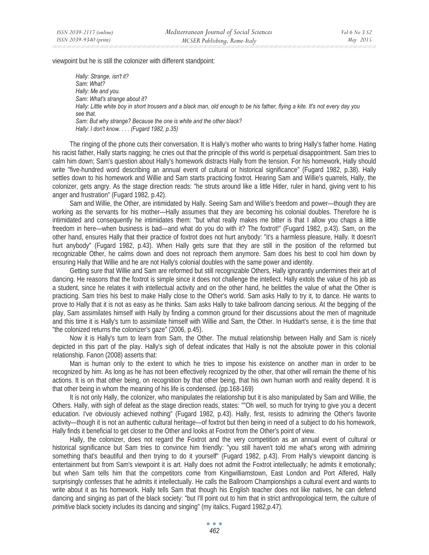viewpoint but he is still the colonizer with different standpoint:

*Hally: Strange, isn't it? Sam: What? Hally: Me and you. Sam: What's strange about it? Hally: Little white boy in short trousers and a black man, old enough to be his father, flying a kite. It's not every day you see that. Sam: But why strange? Because the one is white and the other black? Hally: I don't know. . . . (Fugard 1982, p.35)* 

The ringing of the phone cuts their conversation. It is Hally's mother who wants to bring Hally's father home. Hating his racist father, Hally starts nagging; he cries out that the principle of this world is perpetual disappointment. Sam tries to calm him down; Sam's question about Hally's homework distracts Hally from the tension. For his homework, Hally should write "five-hundred word describing an annual event of cultural or historical significance" (Fugard 1982, p.38). Hally settles down to his homework and Willie and Sam starts practicing foxtrot. Hearing Sam and Willie's quarrels, Hally, the colonizer, gets angry. As the stage direction reads: "he struts around like a little Hitler, ruler in hand, giving vent to his anger and frustration" (Fugard 1982, p.42).

Sam and Willie, the Other, are intimidated by Hally. Seeing Sam and Willie's freedom and power—though they are working as the servants for his mother—Hally assumes that they are becoming his colonial doubles. Therefore he is intimidated and consequently he intimidates them: "but what really makes me bitter is that I allow you chaps a little freedom in here—when business is bad—and what do you do with it? The foxtrot!" (Fugard 1982, p.43). Sam, on the other hand, ensures Hally that their practice of foxtrot does not hurt anybody: "it's a harmless pleasure, Hally. It doesn't hurt anybody" (Fugard 1982, p.43). When Hally gets sure that they are still in the position of the reformed but recognizable Other, he calms down and does not reproach them anymore. Sam does his best to cool him down by ensuring Hally that Willie and he are not Hally's colonial doubles with the same power and identity.

Getting sure that Willie and Sam are reformed but still recognizable Others, Hally ignorantly undermines their art of dancing. He reasons that the foxtrot is simple since it does not challenge the intellect. Hally extols the value of his job as a student, since he relates it with intellectual activity and on the other hand, he belittles the value of what the Other is practicing. Sam tries his best to make Hally close to the Other's world. Sam asks Hally to try it, to dance. He wants to prove to Hally that it is not as easy as he thinks. Sam asks Hally to take ballroom dancing serious. At the begging of the play, Sam assimilates himself with Hally by finding a common ground for their discussions about the men of magnitude and this time it is Hally's turn to assimilate himself with Willie and Sam, the Other. In Huddart's sense, it is the time that "the colonized returns the colonizer's gaze" (2006, p.45).

Now it is Hally's turn to learn from Sam, the Other. The mutual relationship between Hally and Sam is nicely depicted in this part of the play. Hally's sigh of defeat indicates that Hally is not the absolute power in this colonial relationship. Fanon (2008) asserts that:

Man is human only to the extent to which he tries to impose his existence on another man in order to be recognized by him. As long as he has not been effectively recognized by the other, that other will remain the theme of his actions. It is on that other being, on recognition by that other being, that his own human worth and reality depend. It is that other being in whom the meaning of his life is condensed. (pp.168-169)

It is not only Hally, the colonizer, who manipulates the relationship but it is also manipulated by Sam and Willie, the Others. Hally, with sigh of defeat as the stage direction reads, states: ""Oh well, so much for trying to give you a decent education. I've obviously achieved nothing" (Fugard 1982, p.43). Hally, first, resists to admiring the Other's favorite activity—though it is not an authentic cultural heritage—of foxtrot but then being in need of a subject to do his homework, Hally finds it beneficial to get closer to the Other and looks at Foxtrot from the Other's point of view.

Hally, the colonizer, does not regard the Foxtrot and the very competition as an annual event of cultural or historical significance but Sam tries to convince him friendly: "you still haven't told me what's wrong with admiring something that's beautiful and then trying to do it yourself" (Fugard 1982, p.43). From Hally's viewpoint dancing is entertainment but from Sam's viewpoint it is art. Hally does not admit the Foxtrot intellectually; he admits it emotionally; but when Sam tells him that the competitors come from Kingwilliamstown, East London and Port Alfered, Hally surprisingly confesses that he admits it intellectually. He calls the Ballroom Championships a cultural event and wants to write about it as his homework. Hally tells Sam that though his English teacher does not like natives, he can defend dancing and singing as part of the black society: "but I'll point out to him that in strict anthropological term, the culture of *primitive* black society includes its dancing and singing" (my italics, Fugard 1982,p.47).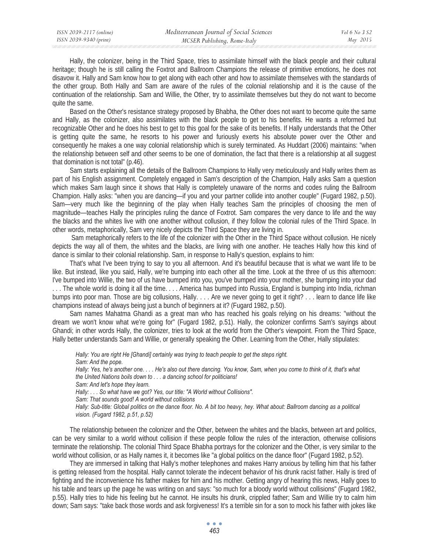Hally, the colonizer, being in the Third Space, tries to assimilate himself with the black people and their cultural heritage; though he is still calling the Foxtrot and Ballroom Champions the release of primitive emotions, he does not disavow it. Hally and Sam know how to get along with each other and how to assimilate themselves with the standards of the other group. Both Hally and Sam are aware of the rules of the colonial relationship and it is the cause of the continuation of the relationship. Sam and Willie, the Other, try to assimilate themselves but they do not want to become quite the same.

Based on the Other's resistance strategy proposed by Bhabha, the Other does not want to become quite the same and Hally, as the colonizer, also assimilates with the black people to get to his benefits. He wants a reformed but recognizable Other and he does his best to get to this goal for the sake of its benefits. If Hally understands that the Other is getting quite the same, he resorts to his power and furiously exerts his absolute power over the Other and consequently he makes a one way colonial relationship which is surely terminated. As Huddart (2006) maintains: "when the relationship between self and other seems to be one of domination, the fact that there is a relationship at all suggest that domination is not total" (p.46).

Sam starts explaining all the details of the Ballroom Champions to Hally very meticulously and Hally writes them as part of his English assignment. Completely engaged in Sam's description of the Champion, Hally asks Sam a question which makes Sam laugh since it shows that Hally is completely unaware of the norms and codes ruling the Ballroom Champion. Hally asks: "when you are dancing—if you and your partner collide into another couple" (Fugard 1982, p.50). Sam—very much like the beginning of the play when Hally teaches Sam the principles of choosing the men of magnitude—teaches Hally the principles ruling the dance of Foxtrot. Sam compares the very dance to life and the way the blacks and the whites live with one another without collusion, if they follow the colonial rules of the Third Space. In other words, metaphorically, Sam very nicely depicts the Third Space they are living in.

 Sam metaphorically refers to the life of the colonizer with the Other in the Third Space without collusion. He nicely depicts the way all of them, the whites and the blacks, are living with one another. He teaches Hally how this kind of dance is similar to their colonial relationship. Sam, in response to Hally's question, explains to him:

That's what I've been trying to say to you all afternoon. And it's beautiful because that is what we want life to be like. But instead, like you said, Hally, we're bumping into each other all the time. Look at the three of us this afternoon: I've bumped into Willie, the two of us have bumped into you, you've bumped into your mother, she bumping into your dad ... The whole world is doing it all the time.... America has bumped into Russia, England is bumping into India, richman bumps into poor man. Those are big collusions, Hally. . . . Are we never going to get it right? . . . learn to dance life like champions instead of always being just a bunch of beginners at it? (Fugard 1982, p.50).

Sam names Mahatma Ghandi as a great man who has reached his goals relying on his dreams: "without the dream we won't know what we're going for" (Fugard 1982, p.51). Hally, the colonizer confirms Sam's sayings about Ghandi; in other words Hally, the colonizer, tries to look at the world from the Other's viewpoint. From the Third Space, Hally better understands Sam and Willie, or generally speaking the Other. Learning from the Other, Hally stipulates:

*Hally: You are right He [Ghandi] certainly was trying to teach people to get the steps right. Sam: And the pope. Hally: Yes, he's another one. . . . He's also out there dancing. You know, Sam, when you come to think of it, that's what the United Nations boils down to . . . a dancing school for politicians! Sam: And let's hope they learn. Hally: . . . So what have we got? Yes, our title: "A World without Collisions". Sam: That sounds good! A world without collisions Hally: Sub-title: Global politics on the dance floor. No. A bit too heavy, hey. What about: Ballroom dancing as a political vision. (Fugard 1982, p.51, p.52)* 

The relationship between the colonizer and the Other, between the whites and the blacks, between art and politics, can be very similar to a world without collision if these people follow the rules of the interaction, otherwise collisions terminate the relationship. The colonial Third Space Bhabha portrays for the colonizer and the Other, is very similar to the world without collision, or as Hally names it, it becomes like "a global politics on the dance floor" (Fugard 1982, p.52).

They are immersed in talking that Hally's mother telephones and makes Harry anxious by telling him that his father is getting released from the hospital. Hally cannot tolerate the indecent behavior of his drunk racist father. Hally is tired of fighting and the inconvenience his father makes for him and his mother. Getting angry of hearing this news, Hally goes to his table and tears up the page he was writing on and says: "so much for a bloody world without collisions" (Fugard 1982, p.55). Hally tries to hide his feeling but he cannot. He insults his drunk, crippled father; Sam and Willie try to calm him down; Sam says: "take back those words and ask forgiveness! It's a terrible sin for a son to mock his father with jokes like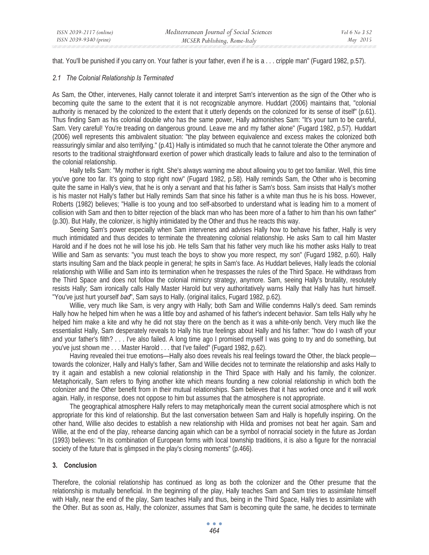that. You'll be punished if you carry on. Your father is your father, even if he is a . . . cripple man" (Fugard 1982, p.57).

## *2.1 The Colonial Relationship Is Terminated*

As Sam, the Other, intervenes, Hally cannot tolerate it and interpret Sam's intervention as the sign of the Other who is becoming quite the same to the extent that it is not recognizable anymore. Huddart (2006) maintains that, "colonial authority is menaced by the colonized to the extent that it utterly depends on the colonized for its sense of itself" (p.61). Thus finding Sam as his colonial double who has the same power, Hally admonishes Sam: "It's your turn to be careful, Sam. Very careful! You're treading on dangerous ground. Leave me and my father alone" (Fugard 1982, p.57). Huddart (2006) well represents this ambivalent situation: "the play between equivalence and excess makes the colonized both reassuringly similar and also terrifying." (p.41) Hally is intimidated so much that he cannot tolerate the Other anymore and resorts to the traditional straightforward exertion of power which drastically leads to failure and also to the termination of the colonial relationship.

Hally tells Sam: "My mother is right. She's always warning me about allowing you to get too familiar. Well, this time you've gone too far. It's going to stop right now" (Fugard 1982, p.58). Hally reminds Sam, the Other who is becoming quite the same in Hally's view, that he is only a servant and that his father is Sam's boss. Sam insists that Hally's mother is his master not Hally's father but Hally reminds Sam that since his father is a white man thus he is his boss. However, Roberts (1982) believes; "Hallie is too young and too self-absorbed to understand what is leading him to a moment of collision with Sam and then to bitter rejection of the black man who has been more of a father to him than his own father" (p.30). But Hally, the colonizer, is highly intimidated by the Other and thus he reacts this way.

Seeing Sam's power especially when Sam intervenes and advises Hally how to behave his father, Hally is very much intimidated and thus decides to terminate the threatening colonial relationship. He asks Sam to call him Master Harold and if he does not he will lose his job. He tells Sam that his father very much like his mother asks Hally to treat Willie and Sam as servants: "you must teach the boys to show you more respect, my son" (Fugard 1982, p.60). Hally starts insulting Sam and the black people in general; he spits in Sam's face. As Huddart believes, Hally leads the colonial relationship with Willie and Sam into its termination when he trespasses the rules of the Third Space. He withdraws from the Third Space and does not follow the colonial mimicry strategy, anymore. Sam, seeing Hally's brutality, resolutely resists Hally; Sam ironically calls Hally Master Harold but very authoritatively warns Hally that Hally has hurt himself. "You've just hurt yourself *bad*", Sam says to Hally. (original italics, Fugard 1982, p.62).

Willie, very much like Sam, is very angry with Hally; both Sam and Willie condemns Hally's deed. Sam reminds Hally how he helped him when he was a little boy and ashamed of his father's indecent behavior. Sam tells Hally why he helped him make a kite and why he did not stay there on the bench as it was a white-only bench. Very much like the essentialist Hally, Sam desperately reveals to Hally his true feelings about Hally and his father: "how do I wash off your and your father's filth? . . . I've also failed. A long time ago I promised myself I was going to try and do something, but you've just shown me . . . Master Harold . . . that I've failed" (Fugard 1982, p.62).

Having revealed thei true emotions—Hally also does reveals his real feelings toward the Other, the black people towards the colonizer, Hally and Hally's father, Sam and Willie decides not to terminate the relationship and asks Hally to try it again and establish a new colonial relationship in the Third Space with Hally and his family, the colonizer. Metaphorically, Sam refers to flying another kite which means founding a new colonial relationship in which both the colonizer and the Other benefit from in their mutual relationships. Sam believes that it has worked once and it will work again. Hally, in response, does not oppose to him but assumes that the atmosphere is not appropriate.

The geographical atmosphere Hally refers to may metaphorically mean the current social atmosphere which is not appropriate for this kind of relationship. But the last conversation between Sam and Hally is hopefully inspiring. On the other hand, Willie also decides to establish a new relationship with Hilda and promises not beat her again. Sam and Willie, at the end of the play, rehearse dancing again which can be a symbol of nonracial society in the future as Jordan (1993) believes: "In its combination of European forms with local township traditions, it is also a figure for the nonracial society of the future that is glimpsed in the play's closing moments" (p.466).

## **3. Conclusion**

Therefore, the colonial relationship has continued as long as both the colonizer and the Other presume that the relationship is mutually beneficial. In the beginning of the play, Hally teaches Sam and Sam tries to assimilate himself with Hally, near the end of the play, Sam teaches Hally and thus, being in the Third Space, Hally tries to assimilate with the Other. But as soon as, Hally, the colonizer, assumes that Sam is becoming quite the same, he decides to terminate